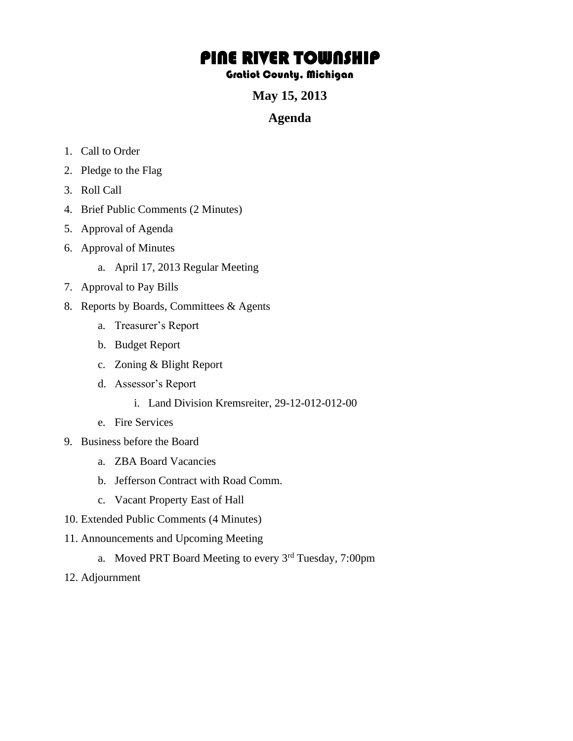## PINE RIVER TOWNSHIP

## Gratiot County, Michigan

**May 15, 2013** 

## **Agenda**

- 1. Call to Order
- 2. Pledge to the Flag
- 3. Roll Call
- 4. Brief Public Comments (2 Minutes)
- 5. Approval of Agenda
- 6. Approval of Minutes
	- a. April 17, 2013 Regular Meeting
- 7. Approval to Pay Bills
- 8. Reports by Boards, Committees & Agents
	- a. Treasurer's Report
	- b. Budget Report
	- c. Zoning & Blight Report
	- d. Assessor's Report
		- i. Land Division Kremsreiter, 29-12-012-012-00
	- e. Fire Services
- 9. Business before the Board
	- a. ZBA Board Vacancies
	- b. Jefferson Contract with Road Comm.
	- c. Vacant Property East of Hall
- 10. Extended Public Comments (4 Minutes)
- 11. Announcements and Upcoming Meeting
	- a. Moved PRT Board Meeting to every 3rd Tuesday, 7:00pm
- 12. Adjournment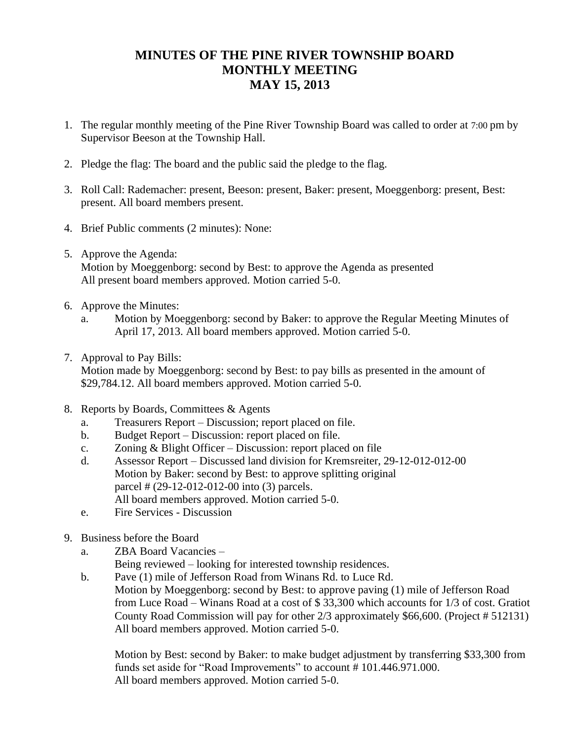## **MINUTES OF THE PINE RIVER TOWNSHIP BOARD MONTHLY MEETING MAY 15, 2013**

- 1. The regular monthly meeting of the Pine River Township Board was called to order at 7:00 pm by Supervisor Beeson at the Township Hall.
- 2. Pledge the flag: The board and the public said the pledge to the flag.
- 3. Roll Call: Rademacher: present, Beeson: present, Baker: present, Moeggenborg: present, Best: present. All board members present.
- 4. Brief Public comments (2 minutes): None:
- 5. Approve the Agenda: Motion by Moeggenborg: second by Best: to approve the Agenda as presented All present board members approved. Motion carried 5-0.
- 6. Approve the Minutes:
	- a. Motion by Moeggenborg: second by Baker: to approve the Regular Meeting Minutes of April 17, 2013. All board members approved. Motion carried 5-0.
- 7. Approval to Pay Bills:

Motion made by Moeggenborg: second by Best: to pay bills as presented in the amount of \$29,784.12. All board members approved. Motion carried 5-0.

- 8. Reports by Boards, Committees & Agents
	- a. Treasurers Report Discussion; report placed on file.
	- b. Budget Report Discussion: report placed on file.
	- c. Zoning & Blight Officer Discussion: report placed on file
	- d. Assessor Report Discussed land division for Kremsreiter, 29-12-012-012-00 Motion by Baker: second by Best: to approve splitting original parcel # (29-12-012-012-00 into (3) parcels. All board members approved. Motion carried 5-0.
	- e. Fire Services Discussion
- 9. Business before the Board
	- a. ZBA Board Vacancies –

Being reviewed – looking for interested township residences.

b. Pave (1) mile of Jefferson Road from Winans Rd. to Luce Rd. Motion by Moeggenborg: second by Best: to approve paving (1) mile of Jefferson Road from Luce Road – Winans Road at a cost of \$ 33,300 which accounts for 1/3 of cost. Gratiot County Road Commission will pay for other 2/3 approximately \$66,600. (Project # 512131) All board members approved. Motion carried 5-0.

Motion by Best: second by Baker: to make budget adjustment by transferring \$33,300 from funds set aside for "Road Improvements" to account # 101.446.971.000. All board members approved. Motion carried 5-0.